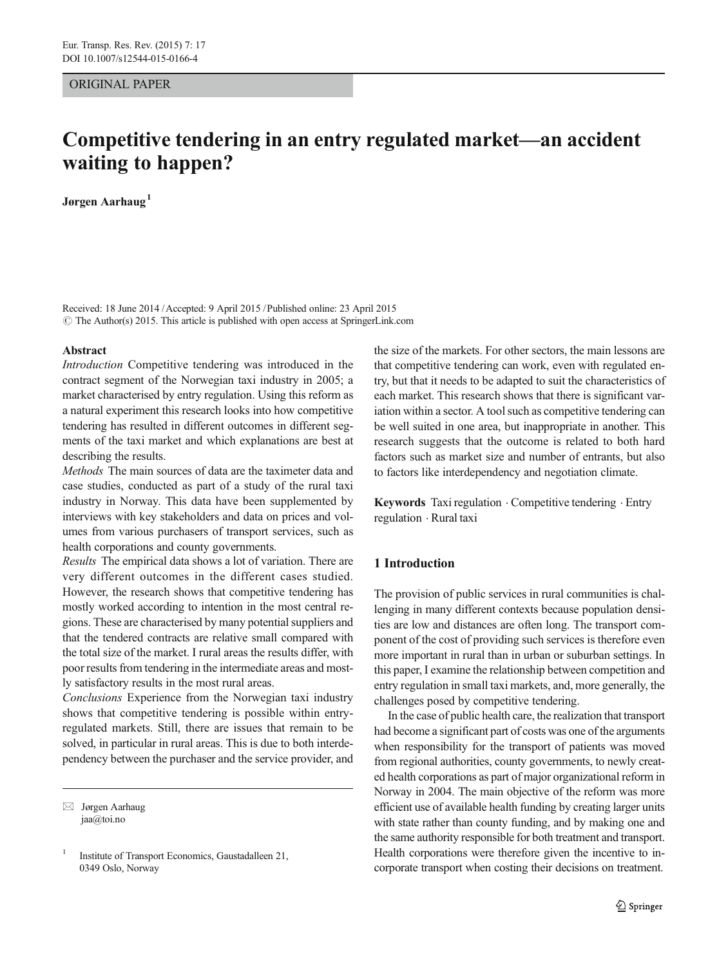### ORIGINAL PAPER

# Competitive tendering in an entry regulated market—an accident waiting to happen?

Jørgen Aarhaug<sup>1</sup>

Received: 18 June 2014 /Accepted: 9 April 2015 /Published online: 23 April 2015  $\odot$  The Author(s) 2015. This article is published with open access at SpringerLink.com

#### Abstract

Introduction Competitive tendering was introduced in the contract segment of the Norwegian taxi industry in 2005; a market characterised by entry regulation. Using this reform as a natural experiment this research looks into how competitive tendering has resulted in different outcomes in different segments of the taxi market and which explanations are best at describing the results.

Methods The main sources of data are the taximeter data and case studies, conducted as part of a study of the rural taxi industry in Norway. This data have been supplemented by interviews with key stakeholders and data on prices and volumes from various purchasers of transport services, such as health corporations and county governments.

Results The empirical data shows a lot of variation. There are very different outcomes in the different cases studied. However, the research shows that competitive tendering has mostly worked according to intention in the most central regions. These are characterised by many potential suppliers and that the tendered contracts are relative small compared with the total size of the market. I rural areas the results differ, with poor results from tendering in the intermediate areas and mostly satisfactory results in the most rural areas.

Conclusions Experience from the Norwegian taxi industry shows that competitive tendering is possible within entryregulated markets. Still, there are issues that remain to be solved, in particular in rural areas. This is due to both interdependency between the purchaser and the service provider, and the size of the markets. For other sectors, the main lessons are that competitive tendering can work, even with regulated entry, but that it needs to be adapted to suit the characteristics of each market. This research shows that there is significant variation within a sector. A tool such as competitive tendering can be well suited in one area, but inappropriate in another. This research suggests that the outcome is related to both hard factors such as market size and number of entrants, but also to factors like interdependency and negotiation climate.

Keywords Taxi regulation . Competitive tendering . Entry regulation . Rural taxi

## 1 Introduction

The provision of public services in rural communities is challenging in many different contexts because population densities are low and distances are often long. The transport component of the cost of providing such services is therefore even more important in rural than in urban or suburban settings. In this paper, I examine the relationship between competition and entry regulation in small taxi markets, and, more generally, the challenges posed by competitive tendering.

In the case of public health care, the realization that transport had become a significant part of costs was one of the arguments when responsibility for the transport of patients was moved from regional authorities, county governments, to newly created health corporations as part of major organizational reform in Norway in 2004. The main objective of the reform was more efficient use of available health funding by creating larger units with state rather than county funding, and by making one and the same authority responsible for both treatment and transport. Health corporations were therefore given the incentive to incorporate transport when costing their decisions on treatment.

 $\boxtimes$  Jørgen Aarhaug jaa@toi.no

<sup>1</sup> Institute of Transport Economics, Gaustadalleen 21, 0349 Oslo, Norway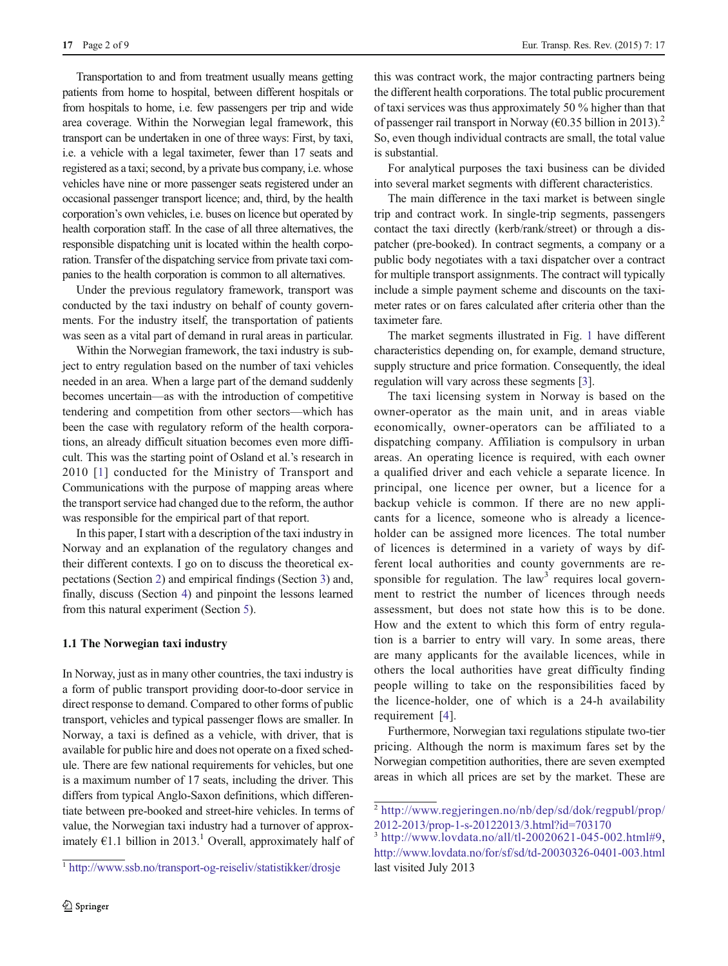Transportation to and from treatment usually means getting patients from home to hospital, between different hospitals or from hospitals to home, i.e. few passengers per trip and wide area coverage. Within the Norwegian legal framework, this transport can be undertaken in one of three ways: First, by taxi, i.e. a vehicle with a legal taximeter, fewer than 17 seats and registered as a taxi; second, by a private bus company, i.e. whose vehicles have nine or more passenger seats registered under an occasional passenger transport licence; and, third, by the health corporation's own vehicles, i.e. buses on licence but operated by health corporation staff. In the case of all three alternatives, the responsible dispatching unit is located within the health corporation. Transfer of the dispatching service from private taxi companies to the health corporation is common to all alternatives.

Under the previous regulatory framework, transport was conducted by the taxi industry on behalf of county governments. For the industry itself, the transportation of patients was seen as a vital part of demand in rural areas in particular.

Within the Norwegian framework, the taxi industry is subject to entry regulation based on the number of taxi vehicles needed in an area. When a large part of the demand suddenly becomes uncertain—as with the introduction of competitive tendering and competition from other sectors—which has been the case with regulatory reform of the health corporations, an already difficult situation becomes even more difficult. This was the starting point of Osland et al.'s research in 2010 [[1](#page-7-0)] conducted for the Ministry of Transport and Communications with the purpose of mapping areas where the transport service had changed due to the reform, the author was responsible for the empirical part of that report.

In this paper, I start with a description of the taxi industry in Norway and an explanation of the regulatory changes and their different contexts. I go on to discuss the theoretical expectations (Section [2](#page-2-0)) and empirical findings (Section [3\)](#page-4-0) and, finally, discuss (Section [4\)](#page-5-0) and pinpoint the lessons learned from this natural experiment (Section [5](#page-7-0)).

#### 1.1 The Norwegian taxi industry

In Norway, just as in many other countries, the taxi industry is a form of public transport providing door-to-door service in direct response to demand. Compared to other forms of public transport, vehicles and typical passenger flows are smaller. In Norway, a taxi is defined as a vehicle, with driver, that is available for public hire and does not operate on a fixed schedule. There are few national requirements for vehicles, but one is a maximum number of 17 seats, including the driver. This differs from typical Anglo-Saxon definitions, which differentiate between pre-booked and street-hire vehicles. In terms of value, the Norwegian taxi industry had a turnover of approximately  $\epsilon$ 1.1 billion in 2013.<sup>1</sup> Overall, approximately half of

this was contract work, the major contracting partners being the different health corporations. The total public procurement of taxi services was thus approximately 50 % higher than that of passenger rail transport in Norway ( $\epsilon$ 0.35 billion in 2013).<sup>2</sup> So, even though individual contracts are small, the total value is substantial.

For analytical purposes the taxi business can be divided into several market segments with different characteristics.

The main difference in the taxi market is between single trip and contract work. In single-trip segments, passengers contact the taxi directly (kerb/rank/street) or through a dispatcher (pre-booked). In contract segments, a company or a public body negotiates with a taxi dispatcher over a contract for multiple transport assignments. The contract will typically include a simple payment scheme and discounts on the taximeter rates or on fares calculated after criteria other than the taximeter fare.

The market segments illustrated in Fig. [1](#page-2-0) have different characteristics depending on, for example, demand structure, supply structure and price formation. Consequently, the ideal regulation will vary across these segments [\[3](#page-8-0)].

The taxi licensing system in Norway is based on the owner-operator as the main unit, and in areas viable economically, owner-operators can be affiliated to a dispatching company. Affiliation is compulsory in urban areas. An operating licence is required, with each owner a qualified driver and each vehicle a separate licence. In principal, one licence per owner, but a licence for a backup vehicle is common. If there are no new applicants for a licence, someone who is already a licenceholder can be assigned more licences. The total number of licences is determined in a variety of ways by different local authorities and county governments are responsible for regulation. The law<sup>3</sup> requires local government to restrict the number of licences through needs assessment, but does not state how this is to be done. How and the extent to which this form of entry regulation is a barrier to entry will vary. In some areas, there are many applicants for the available licences, while in others the local authorities have great difficulty finding people willing to take on the responsibilities faced by the licence-holder, one of which is a 24-h availability requirement [[4\]](#page-8-0).

Furthermore, Norwegian taxi regulations stipulate two-tier pricing. Although the norm is maximum fares set by the Norwegian competition authorities, there are seven exempted areas in which all prices are set by the market. These are

<sup>1</sup> <http://www.ssb.no/transport-og-reiseliv/statistikker/drosje>

<sup>2</sup> [http://www.regjeringen.no/nb/dep/sd/dok/regpubl/prop/](http://www.regjeringen.no/nb/dep/sd/dok/regpubl/prop/2012-2013/prop-1-s-20122013/3.html?id=703170) [2012-2013/prop-1-s-20122013/3.html?id=703170](http://www.regjeringen.no/nb/dep/sd/dok/regpubl/prop/2012-2013/prop-1-s-20122013/3.html?id=703170)

<sup>3</sup> [http://www.lovdata.no/all/tl-20020621-045-002.html#9,](http://www.lovdata.no/all/tl-20020621-045-002.html%239) <http://www.lovdata.no/for/sf/sd/td-20030326-0401-003.html> last visited July 2013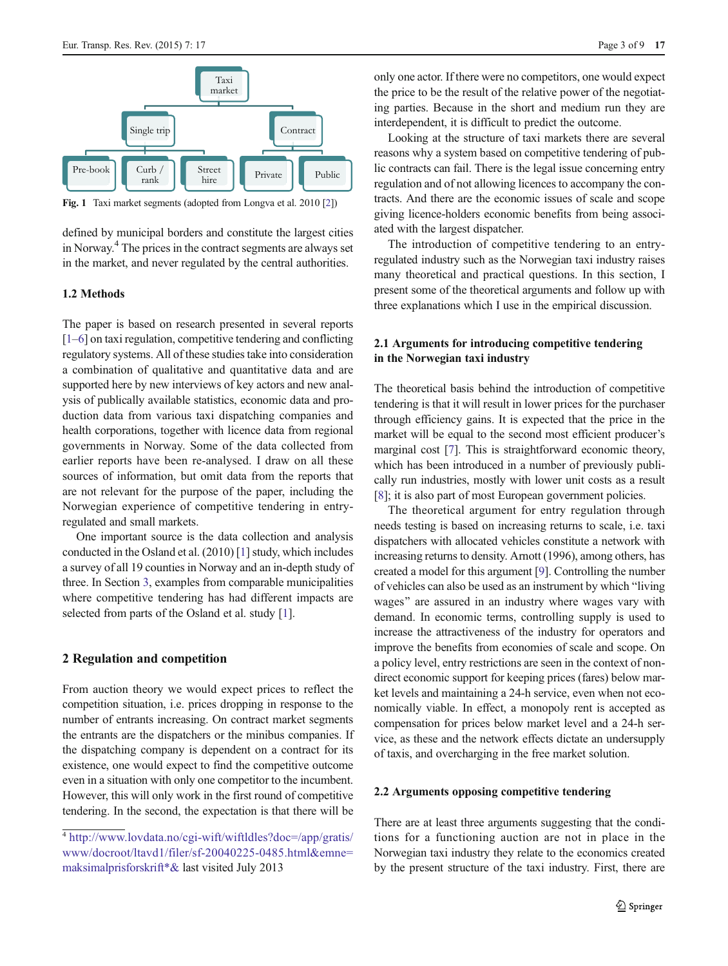<span id="page-2-0"></span>

Fig. 1 Taxi market segments (adopted from Longva et al. 2010 [[2\]](#page-7-0))

defined by municipal borders and constitute the largest cities in Norway.4 The prices in the contract segments are always set in the market, and never regulated by the central authorities.

## 1.2 Methods

The paper is based on research presented in several reports [\[1](#page-7-0)–[6\]](#page-8-0) on taxi regulation, competitive tendering and conflicting regulatory systems. All of these studies take into consideration a combination of qualitative and quantitative data and are supported here by new interviews of key actors and new analysis of publically available statistics, economic data and production data from various taxi dispatching companies and health corporations, together with licence data from regional governments in Norway. Some of the data collected from earlier reports have been re-analysed. I draw on all these sources of information, but omit data from the reports that are not relevant for the purpose of the paper, including the Norwegian experience of competitive tendering in entryregulated and small markets.

One important source is the data collection and analysis conducted in the Osland et al. (2010) [\[1](#page-7-0)] study, which includes a survey of all 19 counties in Norway and an in-depth study of three. In Section [3,](#page-4-0) examples from comparable municipalities where competitive tendering has had different impacts are selected from parts of the Osland et al. study [\[1\]](#page-7-0).

### 2 Regulation and competition

From auction theory we would expect prices to reflect the competition situation, i.e. prices dropping in response to the number of entrants increasing. On contract market segments the entrants are the dispatchers or the minibus companies. If the dispatching company is dependent on a contract for its existence, one would expect to find the competitive outcome even in a situation with only one competitor to the incumbent. However, this will only work in the first round of competitive tendering. In the second, the expectation is that there will be

only one actor. If there were no competitors, one would expect the price to be the result of the relative power of the negotiating parties. Because in the short and medium run they are interdependent, it is difficult to predict the outcome.

Looking at the structure of taxi markets there are several reasons why a system based on competitive tendering of public contracts can fail. There is the legal issue concerning entry regulation and of not allowing licences to accompany the contracts. And there are the economic issues of scale and scope giving licence-holders economic benefits from being associated with the largest dispatcher.

The introduction of competitive tendering to an entryregulated industry such as the Norwegian taxi industry raises many theoretical and practical questions. In this section, I present some of the theoretical arguments and follow up with three explanations which I use in the empirical discussion.

# 2.1 Arguments for introducing competitive tendering in the Norwegian taxi industry

The theoretical basis behind the introduction of competitive tendering is that it will result in lower prices for the purchaser through efficiency gains. It is expected that the price in the market will be equal to the second most efficient producer's marginal cost [[7\]](#page-8-0). This is straightforward economic theory, which has been introduced in a number of previously publically run industries, mostly with lower unit costs as a result [\[8](#page-8-0)]; it is also part of most European government policies.

The theoretical argument for entry regulation through needs testing is based on increasing returns to scale, i.e. taxi dispatchers with allocated vehicles constitute a network with increasing returns to density. Arnott (1996), among others, has created a model for this argument [[9\]](#page-8-0). Controlling the number of vehicles can also be used as an instrument by which "living wages" are assured in an industry where wages vary with demand. In economic terms, controlling supply is used to increase the attractiveness of the industry for operators and improve the benefits from economies of scale and scope. On a policy level, entry restrictions are seen in the context of nondirect economic support for keeping prices (fares) below market levels and maintaining a 24-h service, even when not economically viable. In effect, a monopoly rent is accepted as compensation for prices below market level and a 24-h service, as these and the network effects dictate an undersupply of taxis, and overcharging in the free market solution.

## 2.2 Arguments opposing competitive tendering

There are at least three arguments suggesting that the conditions for a functioning auction are not in place in the Norwegian taxi industry they relate to the economics created by the present structure of the taxi industry. First, there are

<sup>4</sup> [http://www.lovdata.no/cgi-wift/wiftldles?doc=/app/gratis/](http://www.lovdata.no/cgi-wift/wiftldles?doc=/app/gratis/www/docroot/ltavd1/filer/sf-20040225-0485.html&emne=maksimalprisforskrift*&) [www/docroot/ltavd1/filer/sf-20040225-0485.html&emne=](http://www.lovdata.no/cgi-wift/wiftldles?doc=/app/gratis/www/docroot/ltavd1/filer/sf-20040225-0485.html&emne=maksimalprisforskrift*&) [maksimalprisforskrift\\*&](http://www.lovdata.no/cgi-wift/wiftldles?doc=/app/gratis/www/docroot/ltavd1/filer/sf-20040225-0485.html&emne=maksimalprisforskrift*&) last visited July 2013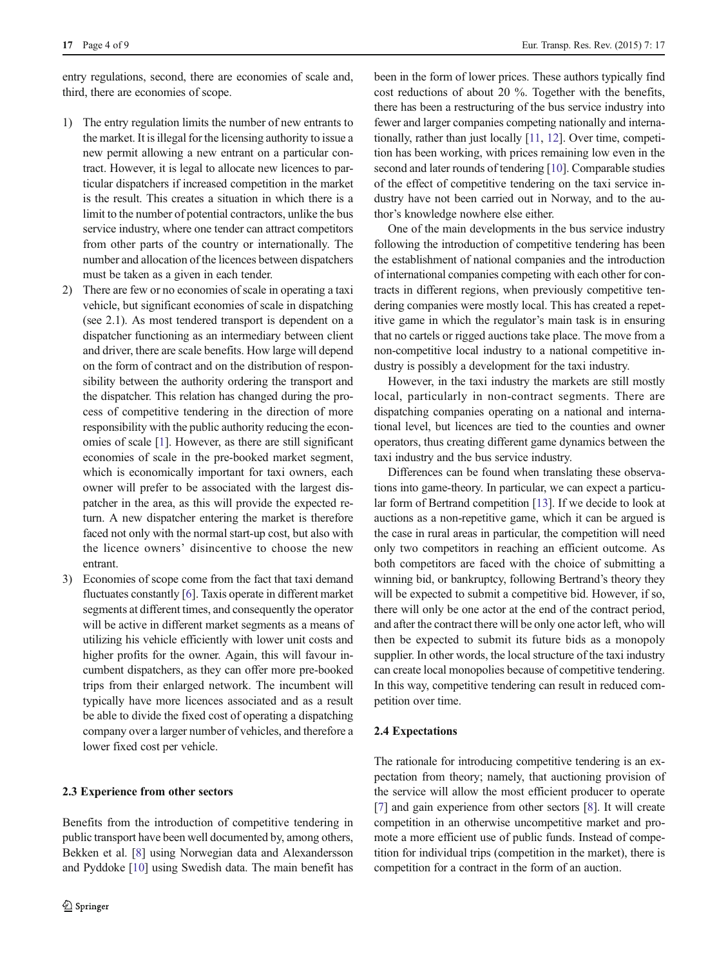entry regulations, second, there are economies of scale and, third, there are economies of scope.

- 1) The entry regulation limits the number of new entrants to the market. It is illegal for the licensing authority to issue a new permit allowing a new entrant on a particular contract. However, it is legal to allocate new licences to particular dispatchers if increased competition in the market is the result. This creates a situation in which there is a limit to the number of potential contractors, unlike the bus service industry, where one tender can attract competitors from other parts of the country or internationally. The number and allocation of the licences between dispatchers must be taken as a given in each tender.
- 2) There are few or no economies of scale in operating a taxi vehicle, but significant economies of scale in dispatching (see 2.1). As most tendered transport is dependent on a dispatcher functioning as an intermediary between client and driver, there are scale benefits. How large will depend on the form of contract and on the distribution of responsibility between the authority ordering the transport and the dispatcher. This relation has changed during the process of competitive tendering in the direction of more responsibility with the public authority reducing the economies of scale [\[1\]](#page-7-0). However, as there are still significant economies of scale in the pre-booked market segment, which is economically important for taxi owners, each owner will prefer to be associated with the largest dispatcher in the area, as this will provide the expected return. A new dispatcher entering the market is therefore faced not only with the normal start-up cost, but also with the licence owners' disincentive to choose the new entrant.
- 3) Economies of scope come from the fact that taxi demand fluctuates constantly [\[6\]](#page-8-0). Taxis operate in different market segments at different times, and consequently the operator will be active in different market segments as a means of utilizing his vehicle efficiently with lower unit costs and higher profits for the owner. Again, this will favour incumbent dispatchers, as they can offer more pre-booked trips from their enlarged network. The incumbent will typically have more licences associated and as a result be able to divide the fixed cost of operating a dispatching company over a larger number of vehicles, and therefore a lower fixed cost per vehicle.

## 2.3 Experience from other sectors

Benefits from the introduction of competitive tendering in public transport have been well documented by, among others, Bekken et al. [\[8\]](#page-8-0) using Norwegian data and Alexandersson and Pyddoke [\[10](#page-8-0)] using Swedish data. The main benefit has

17 Page 4 of 9 Eur. Transp. Res. Rev. (2015) 7: 17

been in the form of lower prices. These authors typically find cost reductions of about 20 %. Together with the benefits, there has been a restructuring of the bus service industry into fewer and larger companies competing nationally and internationally, rather than just locally [\[11](#page-8-0), [12](#page-8-0)]. Over time, competition has been working, with prices remaining low even in the second and later rounds of tendering [[10](#page-8-0)]. Comparable studies of the effect of competitive tendering on the taxi service industry have not been carried out in Norway, and to the author's knowledge nowhere else either.

One of the main developments in the bus service industry following the introduction of competitive tendering has been the establishment of national companies and the introduction of international companies competing with each other for contracts in different regions, when previously competitive tendering companies were mostly local. This has created a repetitive game in which the regulator's main task is in ensuring that no cartels or rigged auctions take place. The move from a non-competitive local industry to a national competitive industry is possibly a development for the taxi industry.

However, in the taxi industry the markets are still mostly local, particularly in non-contract segments. There are dispatching companies operating on a national and international level, but licences are tied to the counties and owner operators, thus creating different game dynamics between the taxi industry and the bus service industry.

Differences can be found when translating these observations into game-theory. In particular, we can expect a particular form of Bertrand competition [[13\]](#page-8-0). If we decide to look at auctions as a non-repetitive game, which it can be argued is the case in rural areas in particular, the competition will need only two competitors in reaching an efficient outcome. As both competitors are faced with the choice of submitting a winning bid, or bankruptcy, following Bertrand's theory they will be expected to submit a competitive bid. However, if so, there will only be one actor at the end of the contract period, and after the contract there will be only one actor left, who will then be expected to submit its future bids as a monopoly supplier. In other words, the local structure of the taxi industry can create local monopolies because of competitive tendering. In this way, competitive tendering can result in reduced competition over time.

## 2.4 Expectations

The rationale for introducing competitive tendering is an expectation from theory; namely, that auctioning provision of the service will allow the most efficient producer to operate [\[7](#page-8-0)] and gain experience from other sectors [[8\]](#page-8-0). It will create competition in an otherwise uncompetitive market and promote a more efficient use of public funds. Instead of competition for individual trips (competition in the market), there is competition for a contract in the form of an auction.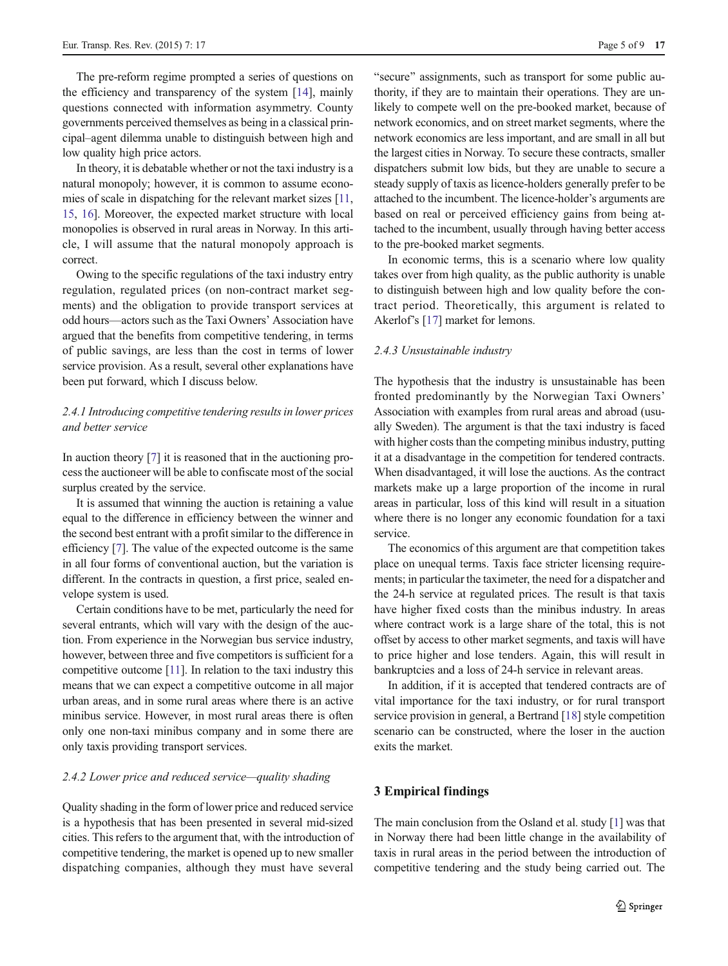<span id="page-4-0"></span>The pre-reform regime prompted a series of questions on the efficiency and transparency of the system [[14\]](#page-8-0), mainly questions connected with information asymmetry. County governments perceived themselves as being in a classical principal–agent dilemma unable to distinguish between high and low quality high price actors.

In theory, it is debatable whether or not the taxi industry is a natural monopoly; however, it is common to assume economies of scale in dispatching for the relevant market sizes [\[11,](#page-8-0) [15,](#page-8-0) [16](#page-8-0)]. Moreover, the expected market structure with local monopolies is observed in rural areas in Norway. In this article, I will assume that the natural monopoly approach is correct.

Owing to the specific regulations of the taxi industry entry regulation, regulated prices (on non-contract market segments) and the obligation to provide transport services at odd hours—actors such as the Taxi Owners' Association have argued that the benefits from competitive tendering, in terms of public savings, are less than the cost in terms of lower service provision. As a result, several other explanations have been put forward, which I discuss below.

# 2.4.1 Introducing competitive tendering results in lower prices and better service

In auction theory [\[7](#page-8-0)] it is reasoned that in the auctioning process the auctioneer will be able to confiscate most of the social surplus created by the service.

It is assumed that winning the auction is retaining a value equal to the difference in efficiency between the winner and the second best entrant with a profit similar to the difference in efficiency [[7\]](#page-8-0). The value of the expected outcome is the same in all four forms of conventional auction, but the variation is different. In the contracts in question, a first price, sealed envelope system is used.

Certain conditions have to be met, particularly the need for several entrants, which will vary with the design of the auction. From experience in the Norwegian bus service industry, however, between three and five competitors is sufficient for a competitive outcome [[11\]](#page-8-0). In relation to the taxi industry this means that we can expect a competitive outcome in all major urban areas, and in some rural areas where there is an active minibus service. However, in most rural areas there is often only one non-taxi minibus company and in some there are only taxis providing transport services.

#### 2.4.2 Lower price and reduced service—quality shading

Quality shading in the form of lower price and reduced service is a hypothesis that has been presented in several mid-sized cities. This refers to the argument that, with the introduction of competitive tendering, the market is opened up to new smaller dispatching companies, although they must have several

"secure" assignments, such as transport for some public authority, if they are to maintain their operations. They are unlikely to compete well on the pre-booked market, because of network economics, and on street market segments, where the network economics are less important, and are small in all but the largest cities in Norway. To secure these contracts, smaller dispatchers submit low bids, but they are unable to secure a steady supply of taxis as licence-holders generally prefer to be attached to the incumbent. The licence-holder's arguments are based on real or perceived efficiency gains from being attached to the incumbent, usually through having better access to the pre-booked market segments.

In economic terms, this is a scenario where low quality takes over from high quality, as the public authority is unable to distinguish between high and low quality before the contract period. Theoretically, this argument is related to Akerlof's [[17\]](#page-8-0) market for lemons.

#### 2.4.3 Unsustainable industry

The hypothesis that the industry is unsustainable has been fronted predominantly by the Norwegian Taxi Owners' Association with examples from rural areas and abroad (usually Sweden). The argument is that the taxi industry is faced with higher costs than the competing minibus industry, putting it at a disadvantage in the competition for tendered contracts. When disadvantaged, it will lose the auctions. As the contract markets make up a large proportion of the income in rural areas in particular, loss of this kind will result in a situation where there is no longer any economic foundation for a taxi service.

The economics of this argument are that competition takes place on unequal terms. Taxis face stricter licensing requirements; in particular the taximeter, the need for a dispatcher and the 24-h service at regulated prices. The result is that taxis have higher fixed costs than the minibus industry. In areas where contract work is a large share of the total, this is not offset by access to other market segments, and taxis will have to price higher and lose tenders. Again, this will result in bankruptcies and a loss of 24-h service in relevant areas.

In addition, if it is accepted that tendered contracts are of vital importance for the taxi industry, or for rural transport service provision in general, a Bertrand [[18](#page-8-0)] style competition scenario can be constructed, where the loser in the auction exits the market.

## 3 Empirical findings

The main conclusion from the Osland et al. study [\[1\]](#page-7-0) was that in Norway there had been little change in the availability of taxis in rural areas in the period between the introduction of competitive tendering and the study being carried out. The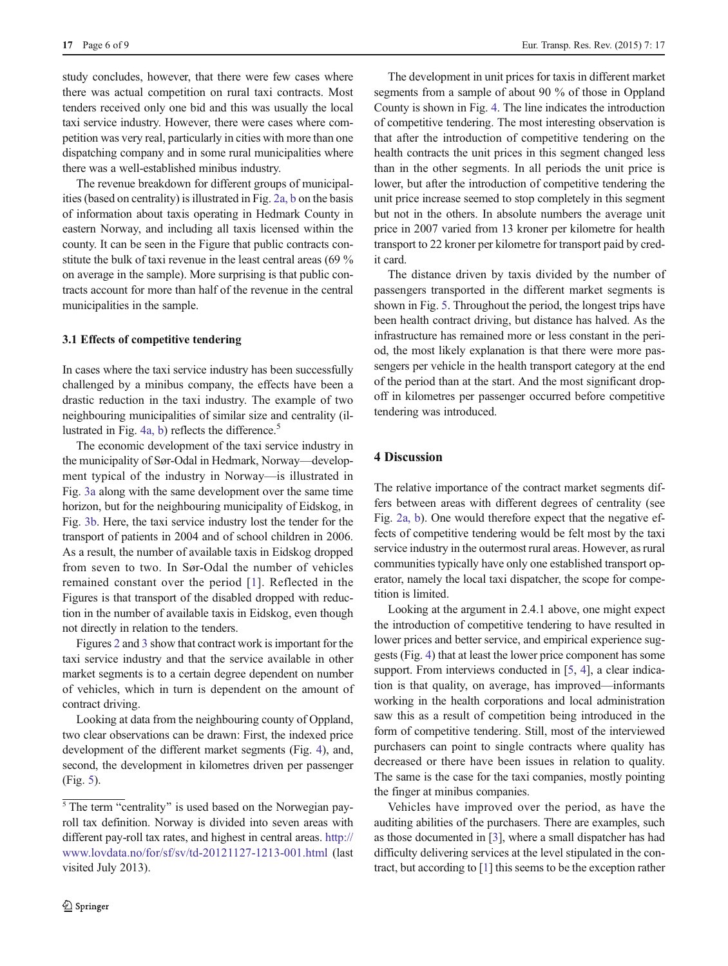<span id="page-5-0"></span>study concludes, however, that there were few cases where there was actual competition on rural taxi contracts. Most tenders received only one bid and this was usually the local taxi service industry. However, there were cases where competition was very real, particularly in cities with more than one dispatching company and in some rural municipalities where there was a well-established minibus industry.

The revenue breakdown for different groups of municipalities (based on centrality) is illustrated in Fig. [2a, b](#page-6-0) on the basis of information about taxis operating in Hedmark County in eastern Norway, and including all taxis licensed within the county. It can be seen in the Figure that public contracts constitute the bulk of taxi revenue in the least central areas (69 % on average in the sample). More surprising is that public contracts account for more than half of the revenue in the central municipalities in the sample.

#### 3.1 Effects of competitive tendering

In cases where the taxi service industry has been successfully challenged by a minibus company, the effects have been a drastic reduction in the taxi industry. The example of two neighbouring municipalities of similar size and centrality (illustrated in Fig.  $4a$ , b) reflects the difference. $5$ 

The economic development of the taxi service industry in the municipality of Sør-Odal in Hedmark, Norway—development typical of the industry in Norway—is illustrated in Fig. [3a](#page-6-0) along with the same development over the same time horizon, but for the neighbouring municipality of Eidskog, in Fig. [3b](#page-6-0). Here, the taxi service industry lost the tender for the transport of patients in 2004 and of school children in 2006. As a result, the number of available taxis in Eidskog dropped from seven to two. In Sør-Odal the number of vehicles remained constant over the period [\[1\]](#page-7-0). Reflected in the Figures is that transport of the disabled dropped with reduction in the number of available taxis in Eidskog, even though not directly in relation to the tenders.

Figures [2](#page-6-0) and [3](#page-6-0) show that contract work is important for the taxi service industry and that the service available in other market segments is to a certain degree dependent on number of vehicles, which in turn is dependent on the amount of contract driving.

Looking at data from the neighbouring county of Oppland, two clear observations can be drawn: First, the indexed price development of the different market segments (Fig. [4\)](#page-6-0), and, second, the development in kilometres driven per passenger (Fig. [5](#page-7-0)).

The development in unit prices for taxis in different market segments from a sample of about 90 % of those in Oppland County is shown in Fig. [4.](#page-6-0) The line indicates the introduction of competitive tendering. The most interesting observation is that after the introduction of competitive tendering on the health contracts the unit prices in this segment changed less than in the other segments. In all periods the unit price is lower, but after the introduction of competitive tendering the unit price increase seemed to stop completely in this segment but not in the others. In absolute numbers the average unit price in 2007 varied from 13 kroner per kilometre for health transport to 22 kroner per kilometre for transport paid by credit card.

The distance driven by taxis divided by the number of passengers transported in the different market segments is shown in Fig. [5](#page-7-0). Throughout the period, the longest trips have been health contract driving, but distance has halved. As the infrastructure has remained more or less constant in the period, the most likely explanation is that there were more passengers per vehicle in the health transport category at the end of the period than at the start. And the most significant dropoff in kilometres per passenger occurred before competitive tendering was introduced.

### 4 Discussion

The relative importance of the contract market segments differs between areas with different degrees of centrality (see Fig. [2a, b](#page-6-0)). One would therefore expect that the negative effects of competitive tendering would be felt most by the taxi service industry in the outermost rural areas. However, as rural communities typically have only one established transport operator, namely the local taxi dispatcher, the scope for competition is limited.

Looking at the argument in 2.4.1 above, one might expect the introduction of competitive tendering to have resulted in lower prices and better service, and empirical experience suggests (Fig. [4](#page-6-0)) that at least the lower price component has some support. From interviews conducted in [[5,](#page-8-0) [4\]](#page-8-0), a clear indication is that quality, on average, has improved—informants working in the health corporations and local administration saw this as a result of competition being introduced in the form of competitive tendering. Still, most of the interviewed purchasers can point to single contracts where quality has decreased or there have been issues in relation to quality. The same is the case for the taxi companies, mostly pointing the finger at minibus companies.

Vehicles have improved over the period, as have the auditing abilities of the purchasers. There are examples, such as those documented in [\[3\]](#page-8-0), where a small dispatcher has had difficulty delivering services at the level stipulated in the contract, but according to [\[1](#page-7-0)] this seems to be the exception rather

 $\frac{1}{5}$  The term "centrality" is used based on the Norwegian payroll tax definition. Norway is divided into seven areas with different pay-roll tax rates, and highest in central areas. [http://](http://www.lovdata.no/for/sf/sv/td-20121127-1213-001.html) [www.lovdata.no/for/sf/sv/td-20121127-1213-001.html](http://www.lovdata.no/for/sf/sv/td-20121127-1213-001.html) (last visited July 2013).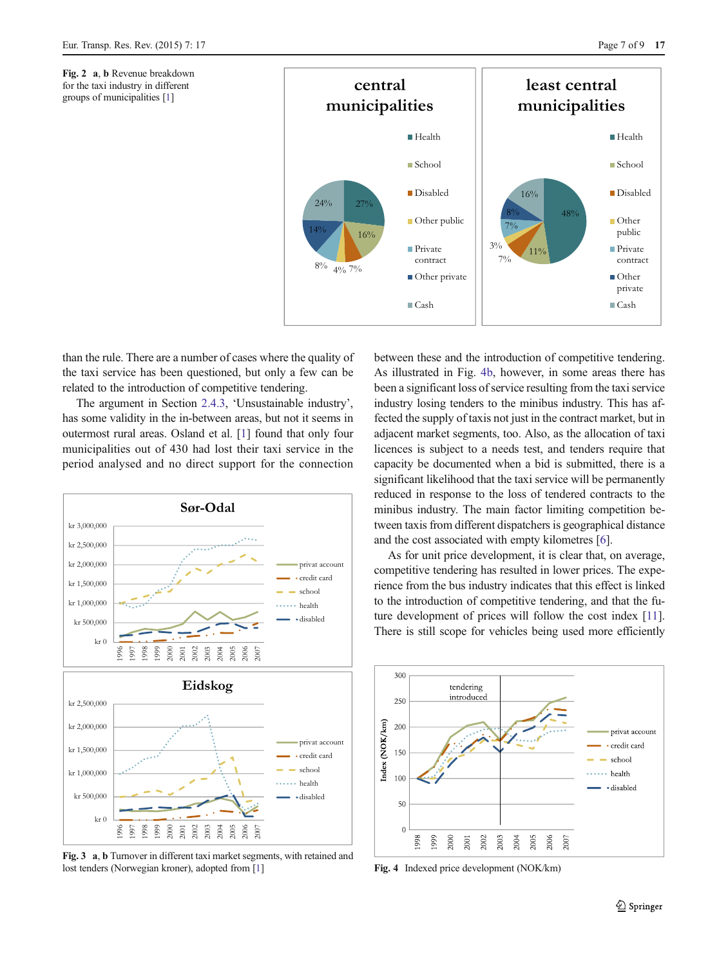<span id="page-6-0"></span>



than the rule. There are a number of cases where the quality of the taxi service has been questioned, but only a few can be related to the introduction of competitive tendering.

The argument in Section [2.4.3](#page-4-0), 'Unsustainable industry', has some validity in the in-between areas, but not it seems in outermost rural areas. Osland et al. [\[1\]](#page-7-0) found that only four municipalities out of 430 had lost their taxi service in the period analysed and no direct support for the connection



Fig. 3 a, b Turnover in different taxi market segments, with retained and lost tenders (Norwegian kroner), adopted from [\[1](#page-7-0)] Fig. 4 Indexed price development (NOK/km)

between these and the introduction of competitive tendering. As illustrated in Fig. 4b, however, in some areas there has been a significant loss of service resulting from the taxi service industry losing tenders to the minibus industry. This has affected the supply of taxis not just in the contract market, but in adjacent market segments, too. Also, as the allocation of taxi licences is subject to a needs test, and tenders require that capacity be documented when a bid is submitted, there is a significant likelihood that the taxi service will be permanently reduced in response to the loss of tendered contracts to the minibus industry. The main factor limiting competition between taxis from different dispatchers is geographical distance and the cost associated with empty kilometres [\[6\]](#page-8-0).

As for unit price development, it is clear that, on average, competitive tendering has resulted in lower prices. The experience from the bus industry indicates that this effect is linked to the introduction of competitive tendering, and that the future development of prices will follow the cost index [\[11\]](#page-8-0). There is still scope for vehicles being used more efficiently

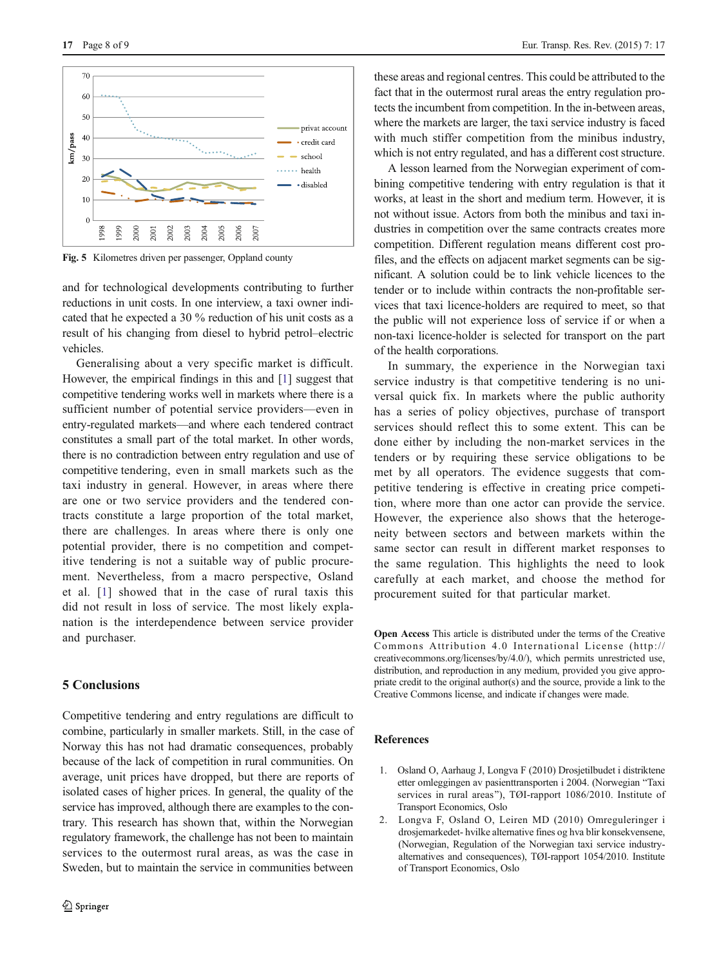<span id="page-7-0"></span>

Fig. 5 Kilometres driven per passenger, Oppland county

and for technological developments contributing to further reductions in unit costs. In one interview, a taxi owner indicated that he expected a 30 % reduction of his unit costs as a result of his changing from diesel to hybrid petrol–electric vehicles.

Generalising about a very specific market is difficult. However, the empirical findings in this and [1] suggest that competitive tendering works well in markets where there is a sufficient number of potential service providers—even in entry-regulated markets—and where each tendered contract constitutes a small part of the total market. In other words, there is no contradiction between entry regulation and use of competitive tendering, even in small markets such as the taxi industry in general. However, in areas where there are one or two service providers and the tendered contracts constitute a large proportion of the total market, there are challenges. In areas where there is only one potential provider, there is no competition and competitive tendering is not a suitable way of public procurement. Nevertheless, from a macro perspective, Osland et al. [1] showed that in the case of rural taxis this did not result in loss of service. The most likely explanation is the interdependence between service provider and purchaser.

#### 5 Conclusions

Competitive tendering and entry regulations are difficult to combine, particularly in smaller markets. Still, in the case of Norway this has not had dramatic consequences, probably because of the lack of competition in rural communities. On average, unit prices have dropped, but there are reports of isolated cases of higher prices. In general, the quality of the service has improved, although there are examples to the contrary. This research has shown that, within the Norwegian regulatory framework, the challenge has not been to maintain services to the outermost rural areas, as was the case in Sweden, but to maintain the service in communities between

these areas and regional centres. This could be attributed to the fact that in the outermost rural areas the entry regulation protects the incumbent from competition. In the in-between areas, where the markets are larger, the taxi service industry is faced with much stiffer competition from the minibus industry, which is not entry regulated, and has a different cost structure.

A lesson learned from the Norwegian experiment of combining competitive tendering with entry regulation is that it works, at least in the short and medium term. However, it is not without issue. Actors from both the minibus and taxi industries in competition over the same contracts creates more competition. Different regulation means different cost profiles, and the effects on adjacent market segments can be significant. A solution could be to link vehicle licences to the tender or to include within contracts the non-profitable services that taxi licence-holders are required to meet, so that the public will not experience loss of service if or when a non-taxi licence-holder is selected for transport on the part of the health corporations.

In summary, the experience in the Norwegian taxi service industry is that competitive tendering is no universal quick fix. In markets where the public authority has a series of policy objectives, purchase of transport services should reflect this to some extent. This can be done either by including the non-market services in the tenders or by requiring these service obligations to be met by all operators. The evidence suggests that competitive tendering is effective in creating price competition, where more than one actor can provide the service. However, the experience also shows that the heterogeneity between sectors and between markets within the same sector can result in different market responses to the same regulation. This highlights the need to look carefully at each market, and choose the method for procurement suited for that particular market.

Open Access This article is distributed under the terms of the Creative Commons Attribution 4.0 International License (http:// creativecommons.org/licenses/by/4.0/), which permits unrestricted use, distribution, and reproduction in any medium, provided you give appropriate credit to the original author(s) and the source, provide a link to the Creative Commons license, and indicate if changes were made.

#### References

- 1. Osland O, Aarhaug J, Longva F (2010) Drosjetilbudet i distriktene etter omleggingen av pasienttransporten i 2004. (Norwegian "Taxi services in rural areas"), TØI-rapport 1086/2010. Institute of Transport Economics, Oslo
- 2. Longva F, Osland O, Leiren MD (2010) Omreguleringer i drosjemarkedet- hvilke alternative fines og hva blir konsekvensene, (Norwegian, Regulation of the Norwegian taxi service industryalternatives and consequences), TØI-rapport 1054/2010. Institute of Transport Economics, Oslo